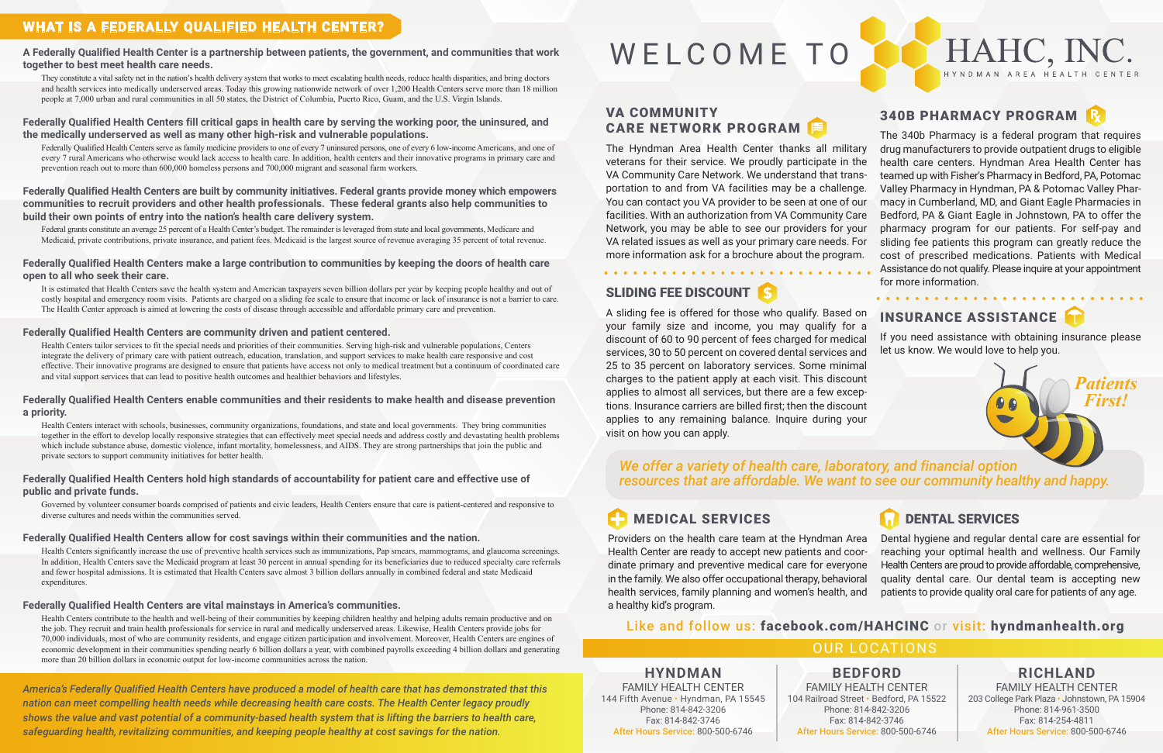### SLIDING FEE DISCOUNT

### 340B PHARMACY PROGRAM

for more information. . . . . . . . . . . . . .

### OUR LOCATIONS

### **HYNDMAN**

FAMILY HEALTH CENTER 144 Fifth Avenue • Hyndman, PA 15545 Phone: 814-842-3206 Fax: 814-842-3746 After Hours Service: 800-500-6746

**BEDFORD**  FAMILY HEALTH CENTER 104 Railroad Street • Bedford, PA 15522 Phone: 814-842-3206 Fax: 814-842-3746 After Hours Service: 800-500-6746

# HAHC, INC.

### **RICHLAND**

FAMILY HEALTH CENTER 203 College Park Plaza • Johnstown, PA 15904 Phone: 814-961-3500 Fax: 814-254-4811 After Hours Service: 800-500-6746

### **WHAT IS A FEDERALLY QUALIFIED HEALTH CENTER?**

**A Federally Qualified Health Center is a partnership between patients, the government, and communities that work together to best meet health care needs.** 

They constitute a vital safety net in the nation's health delivery system that works to meet escalating health needs, reduce health disparities, and bring doctors and health services into medically underserved areas. Today this growing nationwide network of over 1,200 Health Centers serve more than 18 million people at 7,000 urban and rural communities in all 50 states, the District of Columbia, Puerto Rico, Guam, and the U.S. Virgin Islands.

### **Federally Qualified Health Centers fill critical gaps in health care by serving the working poor, the uninsured, and the medically underserved as well as many other high-risk and vulnerable populations.**

 Federally Qualified Health Centers serve as family medicine providers to one of every 7 uninsured persons, one of every 6 low-income Americans, and one of every 7 rural Americans who otherwise would lack access to health care. In addition, health centers and their innovative programs in primary care and prevention reach out to more than 600,000 homeless persons and 700,000 migrant and seasonal farm workers.

**Federally Qualified Health Centers are built by community initiatives. Federal grants provide money which empowers communities to recruit providers and other health professionals. These federal grants also help communities to build their own points of entry into the nation's health care delivery system.** 

 Federal grants constitute an average 25 percent of a Health Center's budget. The remainder is leveraged from state and local governments, Medicare and Medicaid, private contributions, private insurance, and patient fees. Medicaid is the largest source of revenue averaging 35 percent of total revenue.

### **Federally Qualified Health Centers make a large contribution to communities by keeping the doors of health care open to all who seek their care.**

 It is estimated that Health Centers save the health system and American taxpayers seven billion dollars per year by keeping people healthy and out of costly hospital and emergency room visits. Patients are charged on a sliding fee scale to ensure that income or lack of insurance is not a barrier to care. The Health Center approach is aimed at lowering the costs of disease through accessible and affordable primary care and prevention.

### **Federally Qualified Health Centers are community driven and patient centered.**

A sliding fee is offered for those who qualify. Based on your family size and income, you may qualify for a discount of 60 to 90 percent of fees charged for medical services, 30 to 50 percent on covered dental services and 25 to 35 percent on laboratory services. Some minimal charges to the patient apply at each visit. This discount applies to almost all services, but there are a few exceptions. Insurance carriers are billed first; then the discount applies to any remaining balance. Inquire during your visit on how you can apply. INSURANCE ASSISTANCE If you need assistance with obtaining insurance please let us know. We would love to help you. *Patients First!* 

 Health Centers tailor services to fit the special needs and priorities of their communities. Serving high-risk and vulnerable populations, Centers integrate the delivery of primary care with patient outreach, education, translation, and support services to make health care responsive and cost effective. Their innovative programs are designed to ensure that patients have access not only to medical treatment but a continuum of coordinated care and vital support services that can lead to positive health outcomes and healthier behaviors and lifestyles.

The 340b Pharmacy is a federal program that requires drug manufacturers to provide outpatient drugs to eligible health care centers. Hyndman Area Health Center has teamed up with Fisher's Pharmacy in Bedford, PA, Potomac Valley Pharmacy in Hyndman, PA & Potomac Valley Pharmacy in Cumberland, MD, and Giant Eagle Pharmacies in Bedford, PA & Giant Eagle in Johnstown, PA to offer the pharmacy program for our patients. For self-pay and sliding fee patients this program can greatly reduce the cost of prescribed medications. Patients with Medical Assistance do not qualify. Please inquire at your appointment The Hyndman Area Health Center thanks all military veterans for their service. We proudly participate in the VA Community Care Network. We understand that transportation to and from VA facilities may be a challenge. You can contact you VA provider to be seen at one of our facilities. With an authorization from VA Community Care Network, you may be able to see our providers for your VA related issues as well as your primary care needs. For more information ask for a brochure about the program.

### **Federally Qualified Health Centers enable communities and their residents to make health and disease prevention a priority.**

 Health Centers interact with schools, businesses, community organizations, foundations, and state and local governments. They bring communities together in the effort to develop locally responsive strategies that can effectively meet special needs and address costly and devastating health problems which include substance abuse, domestic violence, infant mortality, homelessness, and AIDS. They are strong partnerships that join the public and private sectors to support community initiatives for better health.

### **Federally Qualified Health Centers hold high standards of accountability for patient care and effective use of public and private funds.**

 Governed by volunteer consumer boards comprised of patients and civic leaders, Health Centers ensure that care is patient-centered and responsive to diverse cultures and needs within the communities served.

### **Federally Qualified Health Centers allow for cost savings within their communities and the nation.**

 Health Centers significantly increase the use of preventive health services such as immunizations, Pap smears, mammograms, and glaucoma screenings. In addition, Health Centers save the Medicaid program at least 30 percent in annual spending for its beneficiaries due to reduced specialty care referrals and fewer hospital admissions. It is estimated that Health Centers save almost 3 billion dollars annually in combined federal and state Medicaid expenditures.

### **Federally Qualified Health Centers are vital mainstays in America's communities.**

 Health Centers contribute to the health and well-being of their communities by keeping children healthy and helping adults remain productive and on the job. They recruit and train health professionals for service in rural and medically underserved areas. Likewise, Health Centers provide jobs for 70,000 individuals, most of who are community residents, and engage citizen participation and involvement. Moreover, Health Centers are engines of economic development in their communities spending nearly 6 billion dollars a year, with combined payrolls exceeding 4 billion dollars and generating more than 20 billion dollars in economic output for low-income communities across the nation.

*America's Federally Qualified Health Centers have produced a model of health care that has demonstrated that this nation can meet compelling health needs while decreasing health care costs. The Health Center legacy proudly shows the value and vast potential of a community-based health system that is lifting the barriers to health care, safeguarding health, revitalizing communities, and keeping people healthy at cost savings for the nation.*

## WELCOME TO

### MEDICAL SERVICES

Providers on the health care team at the Hyndman Area Health Center are ready to accept new patients and coordinate primary and preventive medical care for everyone in the family. We also offer occupational therapy, behavioral health services, family planning and women's health, and a healthy kid's program. Dental hygiene and regular dental care are essential for reaching your optimal health and wellness. Our Family Health Centers are proud to provide affordable, comprehensive, quality dental care. Our dental team is accepting new patients to provide quality oral care for patients of any age.

### DENTAL SERVICES

### VA COMMUNITY CARE NETWORK PROGRAM

### Like and follow us: facebook.com/HAHCINC or visit: hyndmanhealth.org

### *We offer a variety of health care, laboratory, and financial option resources that are affordable. We want to see our community healthy and happy.*